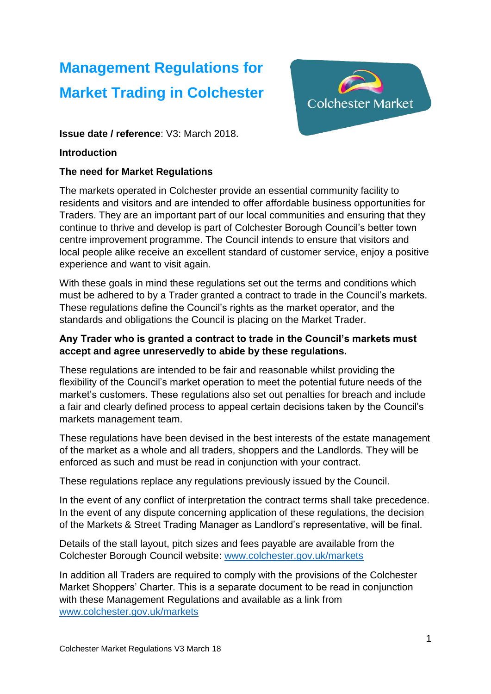# **Management Regulations for Market Trading in Colchester**



**Issue date / reference**: V3: March 2018.

## **Introduction**

# **The need for Market Regulations**

The markets operated in Colchester provide an essential community facility to residents and visitors and are intended to offer affordable business opportunities for Traders. They are an important part of our local communities and ensuring that they continue to thrive and develop is part of Colchester Borough Council's better town centre improvement programme. The Council intends to ensure that visitors and local people alike receive an excellent standard of customer service, enjoy a positive experience and want to visit again.

With these goals in mind these regulations set out the terms and conditions which must be adhered to by a Trader granted a contract to trade in the Council's markets. These regulations define the Council's rights as the market operator, and the standards and obligations the Council is placing on the Market Trader.

# **Any Trader who is granted a contract to trade in the Council's markets must accept and agree unreservedly to abide by these regulations.**

These regulations are intended to be fair and reasonable whilst providing the flexibility of the Council's market operation to meet the potential future needs of the market's customers. These regulations also set out penalties for breach and include a fair and clearly defined process to appeal certain decisions taken by the Council's markets management team.

These regulations have been devised in the best interests of the estate management of the market as a whole and all traders, shoppers and the Landlords. They will be enforced as such and must be read in conjunction with your contract.

These regulations replace any regulations previously issued by the Council.

In the event of any conflict of interpretation the contract terms shall take precedence. In the event of any dispute concerning application of these regulations, the decision of the Markets & Street Trading Manager as Landlord's representative, will be final.

Details of the stall layout, pitch sizes and fees payable are available from the Colchester Borough Council website: [www.colchester.gov.uk/markets](http://www.colchester.gov.uk/markets)

In addition all Traders are required to comply with the provisions of the Colchester Market Shoppers' Charter. This is a separate document to be read in conjunction with these Management Regulations and available as a link from [www.colchester.gov.uk/markets](http://www.colchester.gov.uk/markets)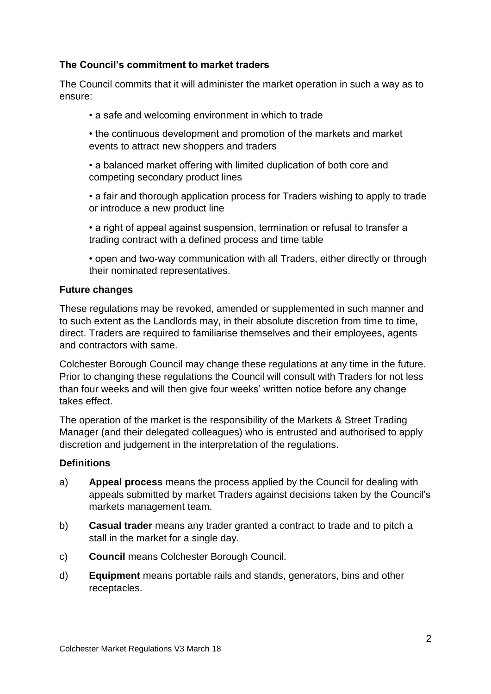# **The Council's commitment to market traders**

The Council commits that it will administer the market operation in such a way as to ensure:

• a safe and welcoming environment in which to trade

• the continuous development and promotion of the markets and market events to attract new shoppers and traders

• a balanced market offering with limited duplication of both core and competing secondary product lines

• a fair and thorough application process for Traders wishing to apply to trade or introduce a new product line

• a right of appeal against suspension, termination or refusal to transfer a trading contract with a defined process and time table

• open and two-way communication with all Traders, either directly or through their nominated representatives.

## **Future changes**

These regulations may be revoked, amended or supplemented in such manner and to such extent as the Landlords may, in their absolute discretion from time to time, direct. Traders are required to familiarise themselves and their employees, agents and contractors with same.

Colchester Borough Council may change these regulations at any time in the future. Prior to changing these regulations the Council will consult with Traders for not less than four weeks and will then give four weeks' written notice before any change takes effect.

The operation of the market is the responsibility of the Markets & Street Trading Manager (and their delegated colleagues) who is entrusted and authorised to apply discretion and judgement in the interpretation of the regulations.

#### **Definitions**

- a) **Appeal process** means the process applied by the Council for dealing with appeals submitted by market Traders against decisions taken by the Council's markets management team.
- b) **Casual trader** means any trader granted a contract to trade and to pitch a stall in the market for a single day.
- c) **Council** means Colchester Borough Council.
- d) **Equipment** means portable rails and stands, generators, bins and other receptacles.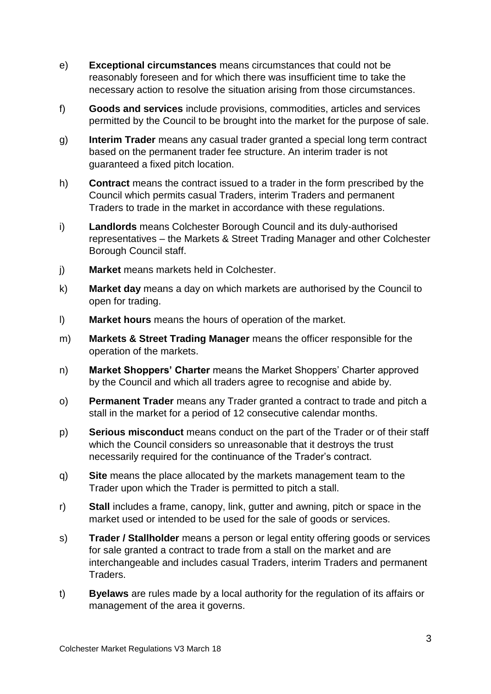- e) **Exceptional circumstances** means circumstances that could not be reasonably foreseen and for which there was insufficient time to take the necessary action to resolve the situation arising from those circumstances.
- f) **Goods and services** include provisions, commodities, articles and services permitted by the Council to be brought into the market for the purpose of sale.
- g) **Interim Trader** means any casual trader granted a special long term contract based on the permanent trader fee structure. An interim trader is not guaranteed a fixed pitch location.
- h) **Contract** means the contract issued to a trader in the form prescribed by the Council which permits casual Traders, interim Traders and permanent Traders to trade in the market in accordance with these regulations.
- i) **Landlords** means Colchester Borough Council and its duly-authorised representatives – the Markets & Street Trading Manager and other Colchester Borough Council staff.
- j) **Market** means markets held in Colchester.
- k) **Market day** means a day on which markets are authorised by the Council to open for trading.
- l) **Market hours** means the hours of operation of the market.
- m) **Markets & Street Trading Manager** means the officer responsible for the operation of the markets.
- n) **Market Shoppers' Charter** means the Market Shoppers' Charter approved by the Council and which all traders agree to recognise and abide by.
- o) **Permanent Trader** means any Trader granted a contract to trade and pitch a stall in the market for a period of 12 consecutive calendar months.
- p) **Serious misconduct** means conduct on the part of the Trader or of their staff which the Council considers so unreasonable that it destroys the trust necessarily required for the continuance of the Trader's contract.
- q) **Site** means the place allocated by the markets management team to the Trader upon which the Trader is permitted to pitch a stall.
- r) **Stall** includes a frame, canopy, link, gutter and awning, pitch or space in the market used or intended to be used for the sale of goods or services.
- s) **Trader / Stallholder** means a person or legal entity offering goods or services for sale granted a contract to trade from a stall on the market and are interchangeable and includes casual Traders, interim Traders and permanent Traders.
- t) **Byelaws** are rules made by a local authority for the regulation of its affairs or management of the area it governs.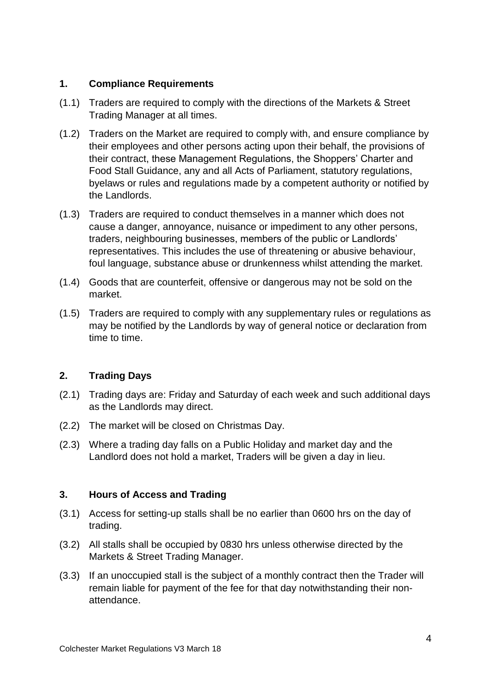# **1. Compliance Requirements**

- (1.1) Traders are required to comply with the directions of the Markets & Street Trading Manager at all times.
- (1.2) Traders on the Market are required to comply with, and ensure compliance by their employees and other persons acting upon their behalf, the provisions of their contract, these Management Regulations, the Shoppers' Charter and Food Stall Guidance, any and all Acts of Parliament, statutory regulations, byelaws or rules and regulations made by a competent authority or notified by the Landlords.
- (1.3) Traders are required to conduct themselves in a manner which does not cause a danger, annoyance, nuisance or impediment to any other persons, traders, neighbouring businesses, members of the public or Landlords' representatives. This includes the use of threatening or abusive behaviour, foul language, substance abuse or drunkenness whilst attending the market.
- (1.4) Goods that are counterfeit, offensive or dangerous may not be sold on the market.
- (1.5) Traders are required to comply with any supplementary rules or regulations as may be notified by the Landlords by way of general notice or declaration from time to time.

# **2. Trading Days**

- (2.1) Trading days are: Friday and Saturday of each week and such additional days as the Landlords may direct.
- (2.2) The market will be closed on Christmas Day.
- (2.3) Where a trading day falls on a Public Holiday and market day and the Landlord does not hold a market, Traders will be given a day in lieu.

# **3. Hours of Access and Trading**

- (3.1) Access for setting-up stalls shall be no earlier than 0600 hrs on the day of trading.
- (3.2) All stalls shall be occupied by 0830 hrs unless otherwise directed by the Markets & Street Trading Manager.
- (3.3) If an unoccupied stall is the subject of a monthly contract then the Trader will remain liable for payment of the fee for that day notwithstanding their nonattendance.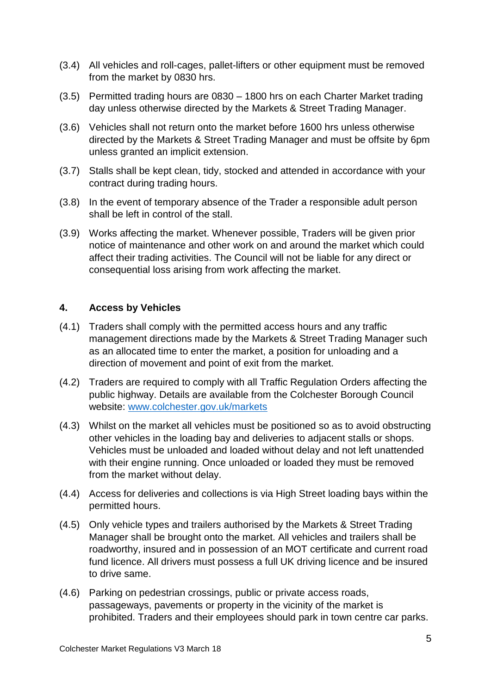- (3.4) All vehicles and roll-cages, pallet-lifters or other equipment must be removed from the market by 0830 hrs.
- (3.5) Permitted trading hours are 0830 1800 hrs on each Charter Market trading day unless otherwise directed by the Markets & Street Trading Manager.
- (3.6) Vehicles shall not return onto the market before 1600 hrs unless otherwise directed by the Markets & Street Trading Manager and must be offsite by 6pm unless granted an implicit extension.
- (3.7) Stalls shall be kept clean, tidy, stocked and attended in accordance with your contract during trading hours.
- (3.8) In the event of temporary absence of the Trader a responsible adult person shall be left in control of the stall.
- (3.9) Works affecting the market. Whenever possible, Traders will be given prior notice of maintenance and other work on and around the market which could affect their trading activities. The Council will not be liable for any direct or consequential loss arising from work affecting the market.

## **4. Access by Vehicles**

- (4.1) Traders shall comply with the permitted access hours and any traffic management directions made by the Markets & Street Trading Manager such as an allocated time to enter the market, a position for unloading and a direction of movement and point of exit from the market.
- (4.2) Traders are required to comply with all Traffic Regulation Orders affecting the public highway. Details are available from the Colchester Borough Council website: [www.colchester.gov.uk/markets](http://www.colchester.gov.uk/markets)
- (4.3) Whilst on the market all vehicles must be positioned so as to avoid obstructing other vehicles in the loading bay and deliveries to adjacent stalls or shops. Vehicles must be unloaded and loaded without delay and not left unattended with their engine running. Once unloaded or loaded they must be removed from the market without delay.
- (4.4) Access for deliveries and collections is via High Street loading bays within the permitted hours.
- (4.5) Only vehicle types and trailers authorised by the Markets & Street Trading Manager shall be brought onto the market. All vehicles and trailers shall be roadworthy, insured and in possession of an MOT certificate and current road fund licence. All drivers must possess a full UK driving licence and be insured to drive same.
- (4.6) Parking on pedestrian crossings, public or private access roads, passageways, pavements or property in the vicinity of the market is prohibited. Traders and their employees should park in town centre car parks.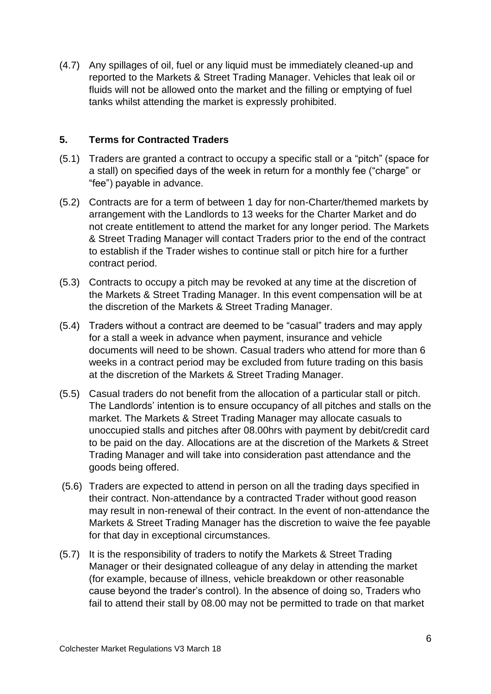(4.7) Any spillages of oil, fuel or any liquid must be immediately cleaned-up and reported to the Markets & Street Trading Manager. Vehicles that leak oil or fluids will not be allowed onto the market and the filling or emptying of fuel tanks whilst attending the market is expressly prohibited.

## **5. Terms for Contracted Traders**

- (5.1) Traders are granted a contract to occupy a specific stall or a "pitch" (space for a stall) on specified days of the week in return for a monthly fee ("charge" or "fee") payable in advance.
- (5.2) Contracts are for a term of between 1 day for non-Charter/themed markets by arrangement with the Landlords to 13 weeks for the Charter Market and do not create entitlement to attend the market for any longer period. The Markets & Street Trading Manager will contact Traders prior to the end of the contract to establish if the Trader wishes to continue stall or pitch hire for a further contract period.
- (5.3) Contracts to occupy a pitch may be revoked at any time at the discretion of the Markets & Street Trading Manager. In this event compensation will be at the discretion of the Markets & Street Trading Manager.
- (5.4) Traders without a contract are deemed to be "casual" traders and may apply for a stall a week in advance when payment, insurance and vehicle documents will need to be shown. Casual traders who attend for more than 6 weeks in a contract period may be excluded from future trading on this basis at the discretion of the Markets & Street Trading Manager.
- (5.5) Casual traders do not benefit from the allocation of a particular stall or pitch. The Landlords' intention is to ensure occupancy of all pitches and stalls on the market. The Markets & Street Trading Manager may allocate casuals to unoccupied stalls and pitches after 08.00hrs with payment by debit/credit card to be paid on the day. Allocations are at the discretion of the Markets & Street Trading Manager and will take into consideration past attendance and the goods being offered.
- (5.6) Traders are expected to attend in person on all the trading days specified in their contract. Non-attendance by a contracted Trader without good reason may result in non-renewal of their contract. In the event of non-attendance the Markets & Street Trading Manager has the discretion to waive the fee payable for that day in exceptional circumstances.
- (5.7) It is the responsibility of traders to notify the Markets & Street Trading Manager or their designated colleague of any delay in attending the market (for example, because of illness, vehicle breakdown or other reasonable cause beyond the trader's control). In the absence of doing so, Traders who fail to attend their stall by 08.00 may not be permitted to trade on that market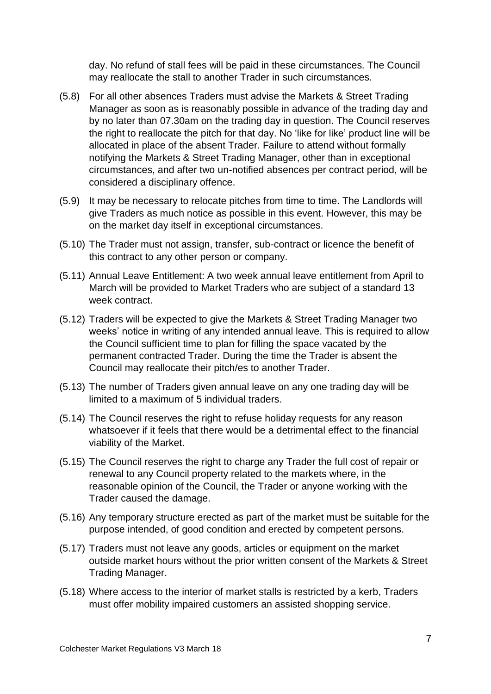day. No refund of stall fees will be paid in these circumstances. The Council may reallocate the stall to another Trader in such circumstances.

- (5.8) For all other absences Traders must advise the Markets & Street Trading Manager as soon as is reasonably possible in advance of the trading day and by no later than 07.30am on the trading day in question. The Council reserves the right to reallocate the pitch for that day. No 'like for like' product line will be allocated in place of the absent Trader. Failure to attend without formally notifying the Markets & Street Trading Manager, other than in exceptional circumstances, and after two un-notified absences per contract period, will be considered a disciplinary offence.
- (5.9) It may be necessary to relocate pitches from time to time. The Landlords will give Traders as much notice as possible in this event. However, this may be on the market day itself in exceptional circumstances.
- (5.10) The Trader must not assign, transfer, sub-contract or licence the benefit of this contract to any other person or company.
- (5.11) Annual Leave Entitlement: A two week annual leave entitlement from April to March will be provided to Market Traders who are subject of a standard 13 week contract.
- (5.12) Traders will be expected to give the Markets & Street Trading Manager two weeks' notice in writing of any intended annual leave. This is required to allow the Council sufficient time to plan for filling the space vacated by the permanent contracted Trader. During the time the Trader is absent the Council may reallocate their pitch/es to another Trader.
- (5.13) The number of Traders given annual leave on any one trading day will be limited to a maximum of 5 individual traders.
- (5.14) The Council reserves the right to refuse holiday requests for any reason whatsoever if it feels that there would be a detrimental effect to the financial viability of the Market.
- (5.15) The Council reserves the right to charge any Trader the full cost of repair or renewal to any Council property related to the markets where, in the reasonable opinion of the Council, the Trader or anyone working with the Trader caused the damage.
- (5.16) Any temporary structure erected as part of the market must be suitable for the purpose intended, of good condition and erected by competent persons.
- (5.17) Traders must not leave any goods, articles or equipment on the market outside market hours without the prior written consent of the Markets & Street Trading Manager.
- (5.18) Where access to the interior of market stalls is restricted by a kerb, Traders must offer mobility impaired customers an assisted shopping service.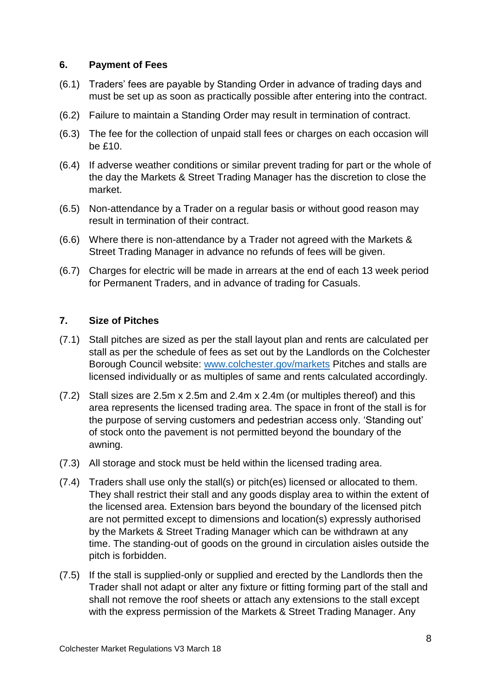#### **6. Payment of Fees**

- (6.1) Traders' fees are payable by Standing Order in advance of trading days and must be set up as soon as practically possible after entering into the contract.
- (6.2) Failure to maintain a Standing Order may result in termination of contract.
- (6.3) The fee for the collection of unpaid stall fees or charges on each occasion will be £10.
- (6.4) If adverse weather conditions or similar prevent trading for part or the whole of the day the Markets & Street Trading Manager has the discretion to close the market.
- (6.5) Non-attendance by a Trader on a regular basis or without good reason may result in termination of their contract.
- (6.6) Where there is non-attendance by a Trader not agreed with the Markets & Street Trading Manager in advance no refunds of fees will be given.
- (6.7) Charges for electric will be made in arrears at the end of each 13 week period for Permanent Traders, and in advance of trading for Casuals.

#### **7. Size of Pitches**

- (7.1) Stall pitches are sized as per the stall layout plan and rents are calculated per stall as per the schedule of fees as set out by the Landlords on the Colchester Borough Council website: [www.colchester.gov/markets](http://www.colchester.gov/markets) Pitches and stalls are licensed individually or as multiples of same and rents calculated accordingly.
- (7.2) Stall sizes are 2.5m x 2.5m and 2.4m x 2.4m (or multiples thereof) and this area represents the licensed trading area. The space in front of the stall is for the purpose of serving customers and pedestrian access only. 'Standing out' of stock onto the pavement is not permitted beyond the boundary of the awning.
- (7.3) All storage and stock must be held within the licensed trading area.
- (7.4) Traders shall use only the stall(s) or pitch(es) licensed or allocated to them. They shall restrict their stall and any goods display area to within the extent of the licensed area. Extension bars beyond the boundary of the licensed pitch are not permitted except to dimensions and location(s) expressly authorised by the Markets & Street Trading Manager which can be withdrawn at any time. The standing-out of goods on the ground in circulation aisles outside the pitch is forbidden.
- (7.5) If the stall is supplied-only or supplied and erected by the Landlords then the Trader shall not adapt or alter any fixture or fitting forming part of the stall and shall not remove the roof sheets or attach any extensions to the stall except with the express permission of the Markets & Street Trading Manager. Any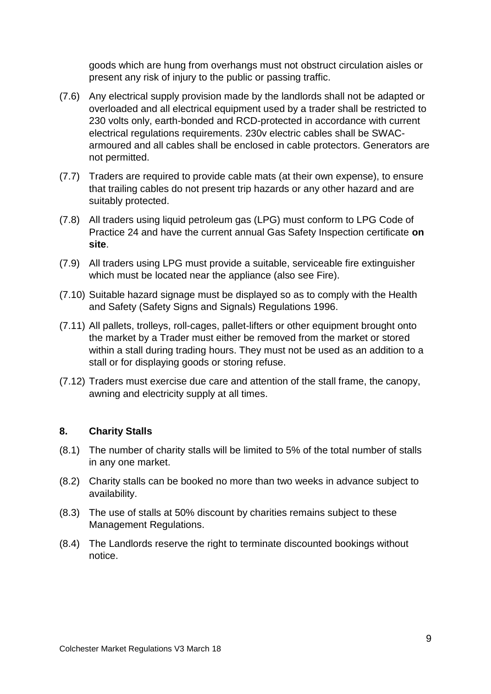goods which are hung from overhangs must not obstruct circulation aisles or present any risk of injury to the public or passing traffic.

- (7.6) Any electrical supply provision made by the landlords shall not be adapted or overloaded and all electrical equipment used by a trader shall be restricted to 230 volts only, earth-bonded and RCD-protected in accordance with current electrical regulations requirements. 230v electric cables shall be SWACarmoured and all cables shall be enclosed in cable protectors. Generators are not permitted.
- (7.7) Traders are required to provide cable mats (at their own expense), to ensure that trailing cables do not present trip hazards or any other hazard and are suitably protected.
- (7.8) All traders using liquid petroleum gas (LPG) must conform to LPG Code of Practice 24 and have the current annual Gas Safety Inspection certificate **on site**.
- (7.9) All traders using LPG must provide a suitable, serviceable fire extinguisher which must be located near the appliance (also see Fire).
- (7.10) Suitable hazard signage must be displayed so as to comply with the Health and Safety (Safety Signs and Signals) Regulations 1996.
- (7.11) All pallets, trolleys, roll-cages, pallet-lifters or other equipment brought onto the market by a Trader must either be removed from the market or stored within a stall during trading hours. They must not be used as an addition to a stall or for displaying goods or storing refuse.
- (7.12) Traders must exercise due care and attention of the stall frame, the canopy, awning and electricity supply at all times.

#### **8. Charity Stalls**

- (8.1) The number of charity stalls will be limited to 5% of the total number of stalls in any one market.
- (8.2) Charity stalls can be booked no more than two weeks in advance subject to availability.
- (8.3) The use of stalls at 50% discount by charities remains subject to these Management Regulations.
- (8.4) The Landlords reserve the right to terminate discounted bookings without notice.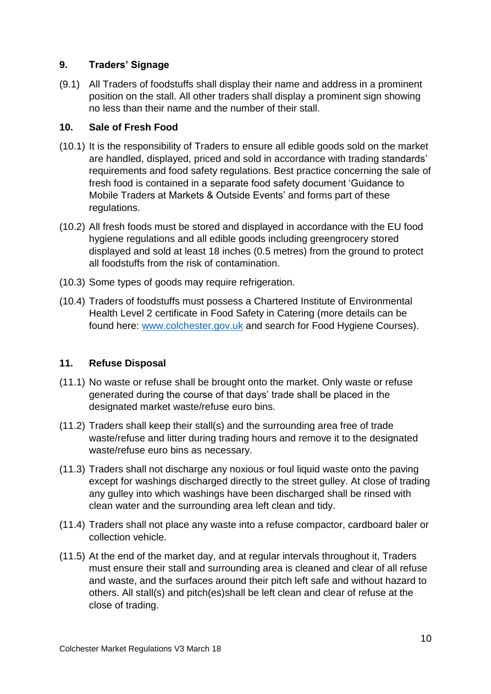# **9. Traders' Signage**

(9.1) All Traders of foodstuffs shall display their name and address in a prominent position on the stall. All other traders shall display a prominent sign showing no less than their name and the number of their stall.

## **10. Sale of Fresh Food**

- (10.1) It is the responsibility of Traders to ensure all edible goods sold on the market are handled, displayed, priced and sold in accordance with trading standards' requirements and food safety regulations. Best practice concerning the sale of fresh food is contained in a separate food safety document 'Guidance to Mobile Traders at Markets & Outside Events' and forms part of these regulations.
- (10.2) All fresh foods must be stored and displayed in accordance with the EU food hygiene regulations and all edible goods including greengrocery stored displayed and sold at least 18 inches (0.5 metres) from the ground to protect all foodstuffs from the risk of contamination.
- (10.3) Some types of goods may require refrigeration.
- (10.4) Traders of foodstuffs must possess a Chartered Institute of Environmental Health Level 2 certificate in Food Safety in Catering (more details can be found here: [www.colchester.gov.uk](http://www.colchester.gov.uk/) and search for Food Hygiene Courses).

# **11. Refuse Disposal**

- (11.1) No waste or refuse shall be brought onto the market. Only waste or refuse generated during the course of that days' trade shall be placed in the designated market waste/refuse euro bins.
- (11.2) Traders shall keep their stall(s) and the surrounding area free of trade waste/refuse and litter during trading hours and remove it to the designated waste/refuse euro bins as necessary.
- (11.3) Traders shall not discharge any noxious or foul liquid waste onto the paving except for washings discharged directly to the street gulley. At close of trading any gulley into which washings have been discharged shall be rinsed with clean water and the surrounding area left clean and tidy.
- (11.4) Traders shall not place any waste into a refuse compactor, cardboard baler or collection vehicle.
- (11.5) At the end of the market day, and at regular intervals throughout it, Traders must ensure their stall and surrounding area is cleaned and clear of all refuse and waste, and the surfaces around their pitch left safe and without hazard to others. All stall(s) and pitch(es)shall be left clean and clear of refuse at the close of trading.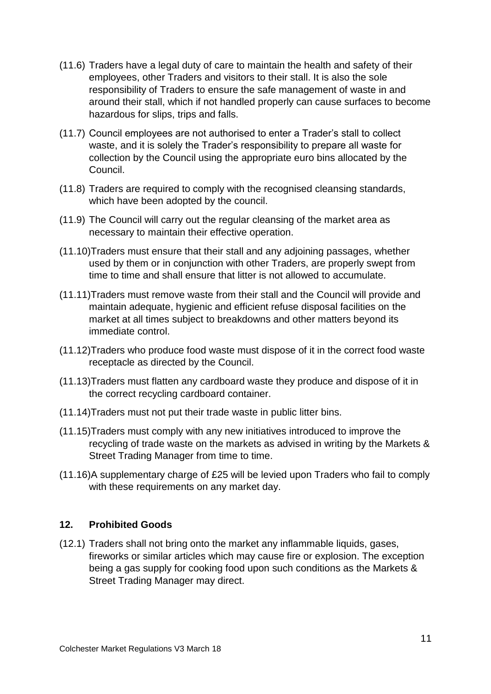- (11.6) Traders have a legal duty of care to maintain the health and safety of their employees, other Traders and visitors to their stall. It is also the sole responsibility of Traders to ensure the safe management of waste in and around their stall, which if not handled properly can cause surfaces to become hazardous for slips, trips and falls.
- (11.7) Council employees are not authorised to enter a Trader's stall to collect waste, and it is solely the Trader's responsibility to prepare all waste for collection by the Council using the appropriate euro bins allocated by the Council.
- (11.8) Traders are required to comply with the recognised cleansing standards, which have been adopted by the council.
- (11.9) The Council will carry out the regular cleansing of the market area as necessary to maintain their effective operation.
- (11.10)Traders must ensure that their stall and any adjoining passages, whether used by them or in conjunction with other Traders, are properly swept from time to time and shall ensure that litter is not allowed to accumulate.
- (11.11)Traders must remove waste from their stall and the Council will provide and maintain adequate, hygienic and efficient refuse disposal facilities on the market at all times subject to breakdowns and other matters beyond its immediate control.
- (11.12)Traders who produce food waste must dispose of it in the correct food waste receptacle as directed by the Council.
- (11.13)Traders must flatten any cardboard waste they produce and dispose of it in the correct recycling cardboard container.
- (11.14)Traders must not put their trade waste in public litter bins.
- (11.15)Traders must comply with any new initiatives introduced to improve the recycling of trade waste on the markets as advised in writing by the Markets & Street Trading Manager from time to time.
- (11.16)A supplementary charge of £25 will be levied upon Traders who fail to comply with these requirements on any market day.

#### **12. Prohibited Goods**

(12.1) Traders shall not bring onto the market any inflammable liquids, gases, fireworks or similar articles which may cause fire or explosion. The exception being a gas supply for cooking food upon such conditions as the Markets & Street Trading Manager may direct.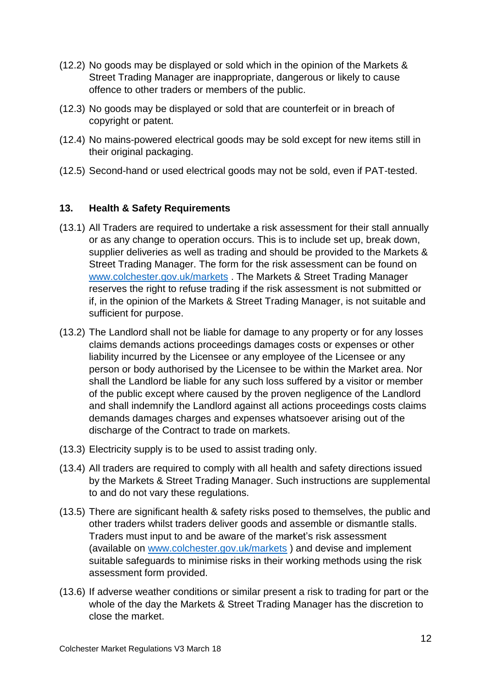- (12.2) No goods may be displayed or sold which in the opinion of the Markets & Street Trading Manager are inappropriate, dangerous or likely to cause offence to other traders or members of the public.
- (12.3) No goods may be displayed or sold that are counterfeit or in breach of copyright or patent.
- (12.4) No mains-powered electrical goods may be sold except for new items still in their original packaging.
- (12.5) Second-hand or used electrical goods may not be sold, even if PAT-tested.

# **13. Health & Safety Requirements**

- (13.1) All Traders are required to undertake a risk assessment for their stall annually or as any change to operation occurs. This is to include set up, break down, supplier deliveries as well as trading and should be provided to the Markets & Street Trading Manager. The form for the risk assessment can be found on [www.colchester.gov.uk/markets](http://www.colchester.gov.uk/markets) . The Markets & Street Trading Manager reserves the right to refuse trading if the risk assessment is not submitted or if, in the opinion of the Markets & Street Trading Manager, is not suitable and sufficient for purpose.
- (13.2) The Landlord shall not be liable for damage to any property or for any losses claims demands actions proceedings damages costs or expenses or other liability incurred by the Licensee or any employee of the Licensee or any person or body authorised by the Licensee to be within the Market area. Nor shall the Landlord be liable for any such loss suffered by a visitor or member of the public except where caused by the proven negligence of the Landlord and shall indemnify the Landlord against all actions proceedings costs claims demands damages charges and expenses whatsoever arising out of the discharge of the Contract to trade on markets.
- (13.3) Electricity supply is to be used to assist trading only.
- (13.4) All traders are required to comply with all health and safety directions issued by the Markets & Street Trading Manager. Such instructions are supplemental to and do not vary these regulations.
- (13.5) There are significant health & safety risks posed to themselves, the public and other traders whilst traders deliver goods and assemble or dismantle stalls. Traders must input to and be aware of the market's risk assessment (available on [www.colchester.gov.uk/markets](http://www.colchester.gov.uk/markets) ) and devise and implement suitable safeguards to minimise risks in their working methods using the risk assessment form provided.
- (13.6) If adverse weather conditions or similar present a risk to trading for part or the whole of the day the Markets & Street Trading Manager has the discretion to close the market.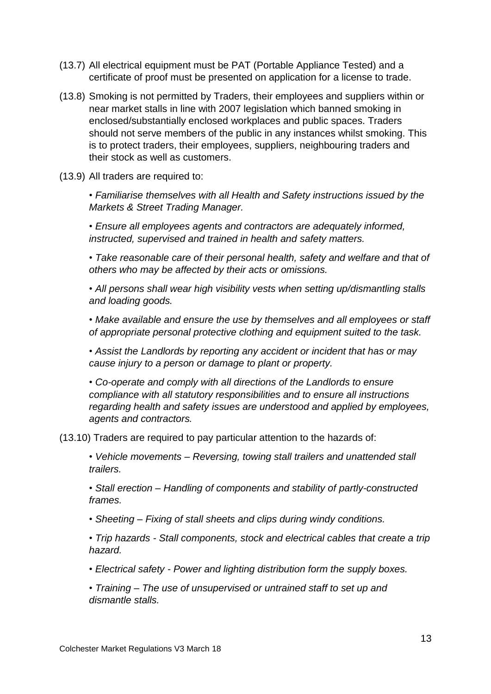- (13.7) All electrical equipment must be PAT (Portable Appliance Tested) and a certificate of proof must be presented on application for a license to trade.
- (13.8) Smoking is not permitted by Traders, their employees and suppliers within or near market stalls in line with 2007 legislation which banned smoking in enclosed/substantially enclosed workplaces and public spaces. Traders should not serve members of the public in any instances whilst smoking. This is to protect traders, their employees, suppliers, neighbouring traders and their stock as well as customers.
- (13.9) All traders are required to:

• *Familiarise themselves with all Health and Safety instructions issued by the Markets & Street Trading Manager.*

• *Ensure all employees agents and contractors are adequately informed, instructed, supervised and trained in health and safety matters.*

• *Take reasonable care of their personal health, safety and welfare and that of others who may be affected by their acts or omissions.*

• *All persons shall wear high visibility vests when setting up/dismantling stalls and loading goods.*

• *Make available and ensure the use by themselves and all employees or staff of appropriate personal protective clothing and equipment suited to the task.*

• *Assist the Landlords by reporting any accident or incident that has or may cause injury to a person or damage to plant or property.*

• *Co-operate and comply with all directions of the Landlords to ensure compliance with all statutory responsibilities and to ensure all instructions regarding health and safety issues are understood and applied by employees, agents and contractors.*

(13.10) Traders are required to pay particular attention to the hazards of:

• *Vehicle movements – Reversing, towing stall trailers and unattended stall trailers.*

• *Stall erection – Handling of components and stability of partly-constructed frames.*

• *Sheeting – Fixing of stall sheets and clips during windy conditions.*

• *Trip hazards - Stall components, stock and electrical cables that create a trip hazard.*

- *Electrical safety - Power and lighting distribution form the supply boxes.*
- *Training – The use of unsupervised or untrained staff to set up and dismantle stalls.*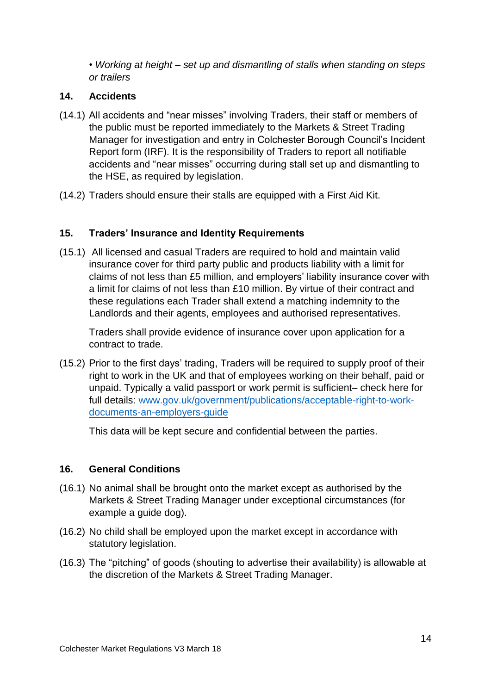• *Working at height – set up and dismantling of stalls when standing on steps or trailers*

## **14. Accidents**

- (14.1) All accidents and "near misses" involving Traders, their staff or members of the public must be reported immediately to the Markets & Street Trading Manager for investigation and entry in Colchester Borough Council's Incident Report form (IRF). It is the responsibility of Traders to report all notifiable accidents and "near misses" occurring during stall set up and dismantling to the HSE, as required by legislation.
- (14.2) Traders should ensure their stalls are equipped with a First Aid Kit.

## **15. Traders' Insurance and Identity Requirements**

(15.1) All licensed and casual Traders are required to hold and maintain valid insurance cover for third party public and products liability with a limit for claims of not less than £5 million, and employers' liability insurance cover with a limit for claims of not less than £10 million. By virtue of their contract and these regulations each Trader shall extend a matching indemnity to the Landlords and their agents, employees and authorised representatives.

Traders shall provide evidence of insurance cover upon application for a contract to trade.

(15.2) Prior to the first days' trading, Traders will be required to supply proof of their right to work in the UK and that of employees working on their behalf, paid or unpaid. Typically a valid passport or work permit is sufficient– check here for full details: [www.gov.uk/government/publications/acceptable-right-to-work](http://www.gov.uk/government/publications/acceptable-right-to-work-documents-an-employers-guide)[documents-an-employers-guide](http://www.gov.uk/government/publications/acceptable-right-to-work-documents-an-employers-guide)

This data will be kept secure and confidential between the parties.

# **16. General Conditions**

- (16.1) No animal shall be brought onto the market except as authorised by the Markets & Street Trading Manager under exceptional circumstances (for example a guide dog).
- (16.2) No child shall be employed upon the market except in accordance with statutory legislation.
- (16.3) The "pitching" of goods (shouting to advertise their availability) is allowable at the discretion of the Markets & Street Trading Manager.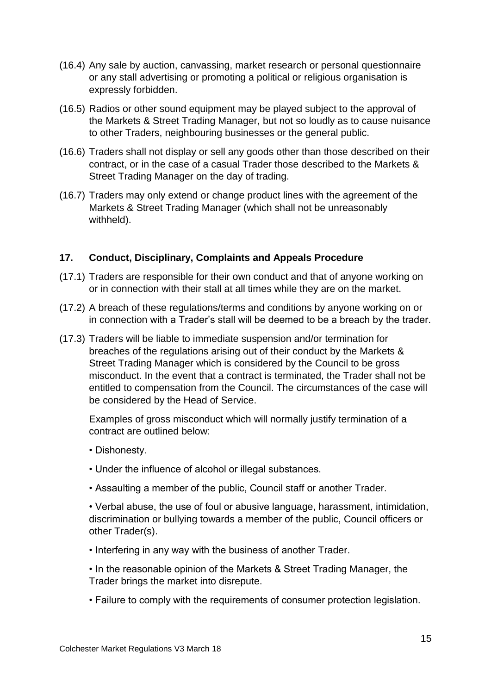- (16.4) Any sale by auction, canvassing, market research or personal questionnaire or any stall advertising or promoting a political or religious organisation is expressly forbidden.
- (16.5) Radios or other sound equipment may be played subject to the approval of the Markets & Street Trading Manager, but not so loudly as to cause nuisance to other Traders, neighbouring businesses or the general public.
- (16.6) Traders shall not display or sell any goods other than those described on their contract, or in the case of a casual Trader those described to the Markets & Street Trading Manager on the day of trading.
- (16.7) Traders may only extend or change product lines with the agreement of the Markets & Street Trading Manager (which shall not be unreasonably withheld).

## **17. Conduct, Disciplinary, Complaints and Appeals Procedure**

- (17.1) Traders are responsible for their own conduct and that of anyone working on or in connection with their stall at all times while they are on the market.
- (17.2) A breach of these regulations/terms and conditions by anyone working on or in connection with a Trader's stall will be deemed to be a breach by the trader.
- (17.3) Traders will be liable to immediate suspension and/or termination for breaches of the regulations arising out of their conduct by the Markets & Street Trading Manager which is considered by the Council to be gross misconduct. In the event that a contract is terminated, the Trader shall not be entitled to compensation from the Council. The circumstances of the case will be considered by the Head of Service.

Examples of gross misconduct which will normally justify termination of a contract are outlined below:

- Dishonesty.
- Under the influence of alcohol or illegal substances.
- Assaulting a member of the public, Council staff or another Trader.

• Verbal abuse, the use of foul or abusive language, harassment, intimidation, discrimination or bullying towards a member of the public, Council officers or other Trader(s).

- Interfering in any way with the business of another Trader.
- In the reasonable opinion of the Markets & Street Trading Manager, the Trader brings the market into disrepute.
- Failure to comply with the requirements of consumer protection legislation.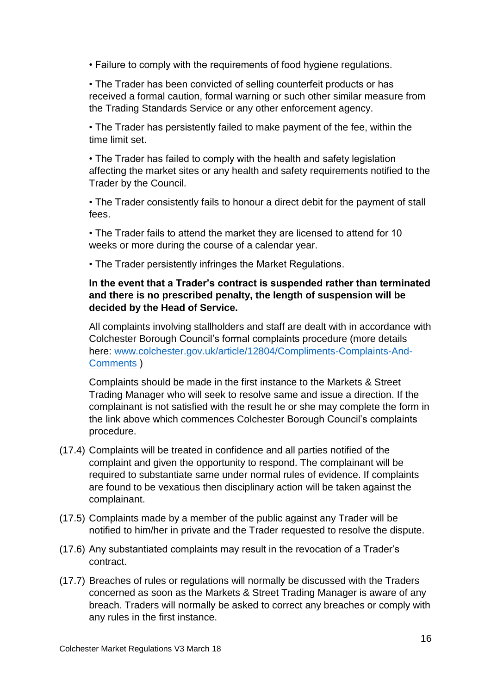• Failure to comply with the requirements of food hygiene regulations.

• The Trader has been convicted of selling counterfeit products or has received a formal caution, formal warning or such other similar measure from the Trading Standards Service or any other enforcement agency.

• The Trader has persistently failed to make payment of the fee, within the time limit set.

• The Trader has failed to comply with the health and safety legislation affecting the market sites or any health and safety requirements notified to the Trader by the Council.

• The Trader consistently fails to honour a direct debit for the payment of stall fees.

• The Trader fails to attend the market they are licensed to attend for 10 weeks or more during the course of a calendar year.

• The Trader persistently infringes the Market Regulations.

# **In the event that a Trader's contract is suspended rather than terminated and there is no prescribed penalty, the length of suspension will be decided by the Head of Service.**

All complaints involving stallholders and staff are dealt with in accordance with Colchester Borough Council's formal complaints procedure (more details here: [www.colchester.gov.uk/article/12804/Compliments-Complaints-And-](http://www.colchester.gov.uk/article/12804/Compliments-Complaints-And-Comments)[Comments](http://www.colchester.gov.uk/article/12804/Compliments-Complaints-And-Comments) )

Complaints should be made in the first instance to the Markets & Street Trading Manager who will seek to resolve same and issue a direction. If the complainant is not satisfied with the result he or she may complete the form in the link above which commences Colchester Borough Council's complaints procedure.

- (17.4) Complaints will be treated in confidence and all parties notified of the complaint and given the opportunity to respond. The complainant will be required to substantiate same under normal rules of evidence. If complaints are found to be vexatious then disciplinary action will be taken against the complainant.
- (17.5) Complaints made by a member of the public against any Trader will be notified to him/her in private and the Trader requested to resolve the dispute.
- (17.6) Any substantiated complaints may result in the revocation of a Trader's contract.
- (17.7) Breaches of rules or regulations will normally be discussed with the Traders concerned as soon as the Markets & Street Trading Manager is aware of any breach. Traders will normally be asked to correct any breaches or comply with any rules in the first instance.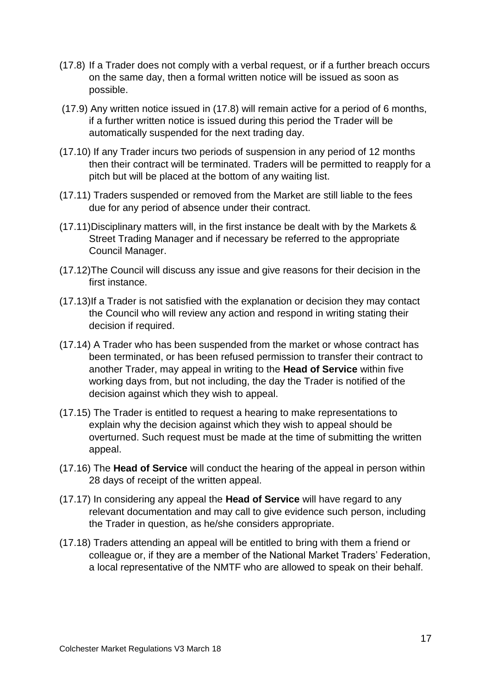- (17.8) If a Trader does not comply with a verbal request, or if a further breach occurs on the same day, then a formal written notice will be issued as soon as possible.
- (17.9) Any written notice issued in (17.8) will remain active for a period of 6 months, if a further written notice is issued during this period the Trader will be automatically suspended for the next trading day.
- (17.10) If any Trader incurs two periods of suspension in any period of 12 months then their contract will be terminated. Traders will be permitted to reapply for a pitch but will be placed at the bottom of any waiting list.
- (17.11) Traders suspended or removed from the Market are still liable to the fees due for any period of absence under their contract.
- (17.11)Disciplinary matters will, in the first instance be dealt with by the Markets & Street Trading Manager and if necessary be referred to the appropriate Council Manager.
- (17.12)The Council will discuss any issue and give reasons for their decision in the first instance.
- (17.13)If a Trader is not satisfied with the explanation or decision they may contact the Council who will review any action and respond in writing stating their decision if required.
- (17.14) A Trader who has been suspended from the market or whose contract has been terminated, or has been refused permission to transfer their contract to another Trader, may appeal in writing to the **Head of Service** within five working days from, but not including, the day the Trader is notified of the decision against which they wish to appeal.
- (17.15) The Trader is entitled to request a hearing to make representations to explain why the decision against which they wish to appeal should be overturned. Such request must be made at the time of submitting the written appeal.
- (17.16) The **Head of Service** will conduct the hearing of the appeal in person within 28 days of receipt of the written appeal.
- (17.17) In considering any appeal the **Head of Service** will have regard to any relevant documentation and may call to give evidence such person, including the Trader in question, as he/she considers appropriate.
- (17.18) Traders attending an appeal will be entitled to bring with them a friend or colleague or, if they are a member of the National Market Traders' Federation, a local representative of the NMTF who are allowed to speak on their behalf.